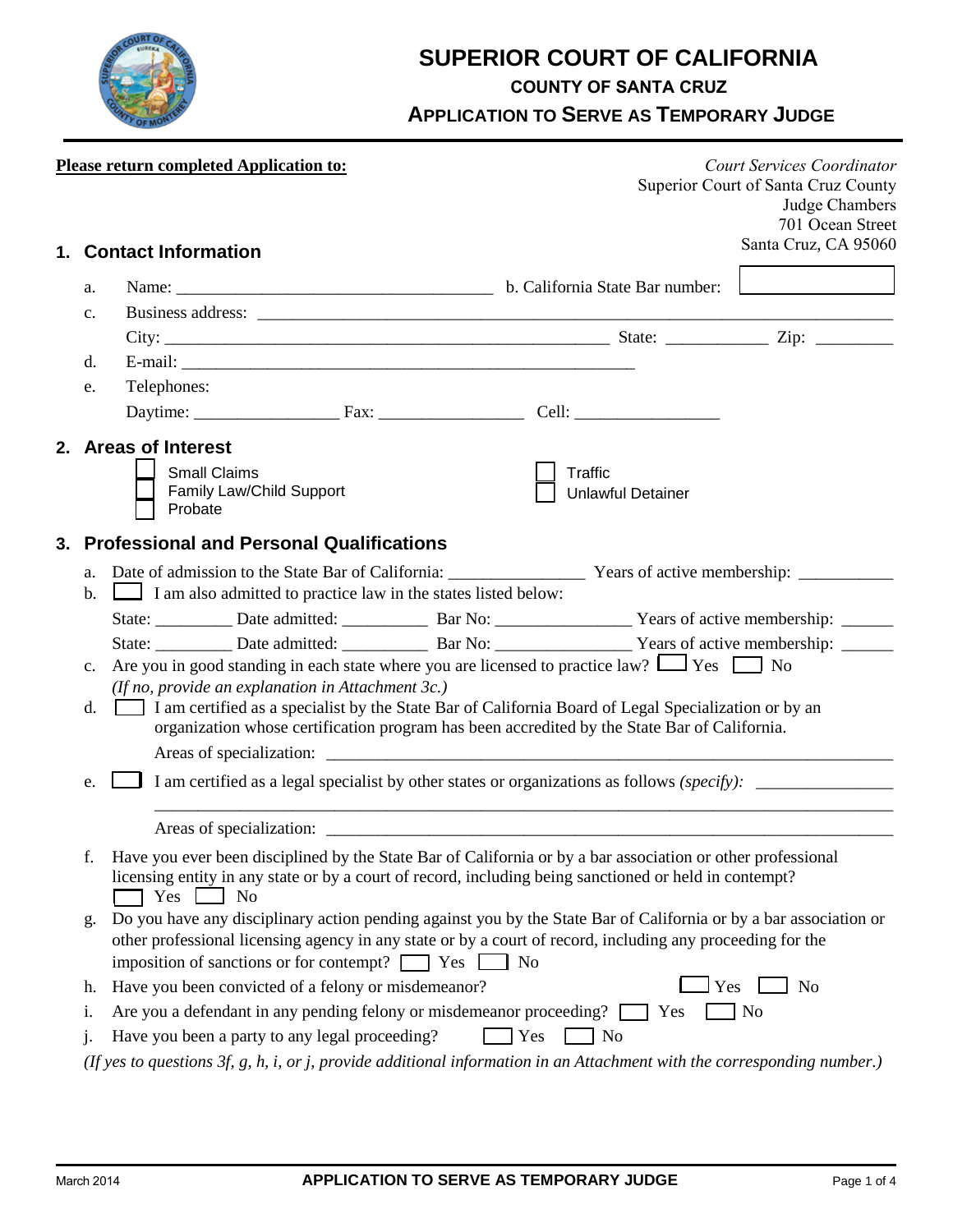

# **SUPERIOR COURT OF CALIFORNIA**

**COUNTY OF SANTA CRUZ**

**APPLICATION TO SERVE AS TEMPORARY JUDGE**

|                                                                                                                                                                                                                                                                                                           | <b>Please return completed Application to:</b>                                                                                                                                                                                                            |  |            |                                                                                                                      | <b>Court Services Coordinator</b><br>Superior Court of Santa Cruz County<br>Judge Chambers<br>701 Ocean Street |  |  |  |
|-----------------------------------------------------------------------------------------------------------------------------------------------------------------------------------------------------------------------------------------------------------------------------------------------------------|-----------------------------------------------------------------------------------------------------------------------------------------------------------------------------------------------------------------------------------------------------------|--|------------|----------------------------------------------------------------------------------------------------------------------|----------------------------------------------------------------------------------------------------------------|--|--|--|
|                                                                                                                                                                                                                                                                                                           | 1. Contact Information                                                                                                                                                                                                                                    |  |            |                                                                                                                      | Santa Cruz, CA 95060                                                                                           |  |  |  |
| a.                                                                                                                                                                                                                                                                                                        |                                                                                                                                                                                                                                                           |  |            |                                                                                                                      |                                                                                                                |  |  |  |
| $\mathbf{c}$ .                                                                                                                                                                                                                                                                                            |                                                                                                                                                                                                                                                           |  |            |                                                                                                                      |                                                                                                                |  |  |  |
|                                                                                                                                                                                                                                                                                                           |                                                                                                                                                                                                                                                           |  |            |                                                                                                                      |                                                                                                                |  |  |  |
| d.                                                                                                                                                                                                                                                                                                        |                                                                                                                                                                                                                                                           |  |            |                                                                                                                      |                                                                                                                |  |  |  |
| e.                                                                                                                                                                                                                                                                                                        | Telephones:                                                                                                                                                                                                                                               |  |            |                                                                                                                      |                                                                                                                |  |  |  |
|                                                                                                                                                                                                                                                                                                           |                                                                                                                                                                                                                                                           |  |            |                                                                                                                      |                                                                                                                |  |  |  |
|                                                                                                                                                                                                                                                                                                           | 2. Areas of Interest<br><b>Small Claims</b><br>Family Law/Child Support<br>Probate                                                                                                                                                                        |  |            | Traffic<br><b>Unlawful Detainer</b>                                                                                  |                                                                                                                |  |  |  |
|                                                                                                                                                                                                                                                                                                           | 3. Professional and Personal Qualifications                                                                                                                                                                                                               |  |            |                                                                                                                      |                                                                                                                |  |  |  |
|                                                                                                                                                                                                                                                                                                           |                                                                                                                                                                                                                                                           |  |            |                                                                                                                      |                                                                                                                |  |  |  |
| $\mathbf{b}$ .                                                                                                                                                                                                                                                                                            | I am also admitted to practice law in the states listed below:                                                                                                                                                                                            |  |            |                                                                                                                      |                                                                                                                |  |  |  |
|                                                                                                                                                                                                                                                                                                           |                                                                                                                                                                                                                                                           |  |            |                                                                                                                      |                                                                                                                |  |  |  |
|                                                                                                                                                                                                                                                                                                           |                                                                                                                                                                                                                                                           |  |            | State: ____________ Date admitted: ______________ Bar No: _____________________ Years of active membership: ________ |                                                                                                                |  |  |  |
| $c_{\cdot}$                                                                                                                                                                                                                                                                                               | Are you in good standing in each state where you are licensed to practice law? $\Box$ Yes $\Box$ No                                                                                                                                                       |  |            |                                                                                                                      |                                                                                                                |  |  |  |
| d.                                                                                                                                                                                                                                                                                                        | (If no, provide an explanation in Attachment 3c.)<br>I am certified as a specialist by the State Bar of California Board of Legal Specialization or by an<br>organization whose certification program has been accredited by the State Bar of California. |  |            |                                                                                                                      |                                                                                                                |  |  |  |
| e.                                                                                                                                                                                                                                                                                                        | I am certified as a legal specialist by other states or organizations as follows (specify): __________________                                                                                                                                            |  |            |                                                                                                                      |                                                                                                                |  |  |  |
|                                                                                                                                                                                                                                                                                                           | Areas of specialization:                                                                                                                                                                                                                                  |  |            |                                                                                                                      |                                                                                                                |  |  |  |
|                                                                                                                                                                                                                                                                                                           | Have you ever been disciplined by the State Bar of California or by a bar association or other professional<br>licensing entity in any state or by a court of record, including being sanctioned or held in contempt?<br>Yes<br>N <sub>o</sub>            |  |            |                                                                                                                      |                                                                                                                |  |  |  |
| Do you have any disciplinary action pending against you by the State Bar of California or by a bar association or<br>g.<br>other professional licensing agency in any state or by a court of record, including any proceeding for the<br>imposition of sanctions or for contempt? $\Box$ Yes<br><b>No</b> |                                                                                                                                                                                                                                                           |  |            |                                                                                                                      |                                                                                                                |  |  |  |
| h.                                                                                                                                                                                                                                                                                                        | Have you been convicted of a felony or misdemeanor?<br>Yes<br>N <sub>o</sub>                                                                                                                                                                              |  |            |                                                                                                                      |                                                                                                                |  |  |  |
| 1.                                                                                                                                                                                                                                                                                                        | Are you a defendant in any pending felony or misdemeanor proceeding? [<br>$\blacksquare$ No<br>$\bigcap$ Yes                                                                                                                                              |  |            |                                                                                                                      |                                                                                                                |  |  |  |
| j.                                                                                                                                                                                                                                                                                                        | Have you been a party to any legal proceeding?                                                                                                                                                                                                            |  | $\Box$ Yes | $\overline{\phantom{a}}$ No                                                                                          |                                                                                                                |  |  |  |
|                                                                                                                                                                                                                                                                                                           | (If yes to questions 3f, g, h, i, or j, provide additional information in an Attachment with the corresponding number.)                                                                                                                                   |  |            |                                                                                                                      |                                                                                                                |  |  |  |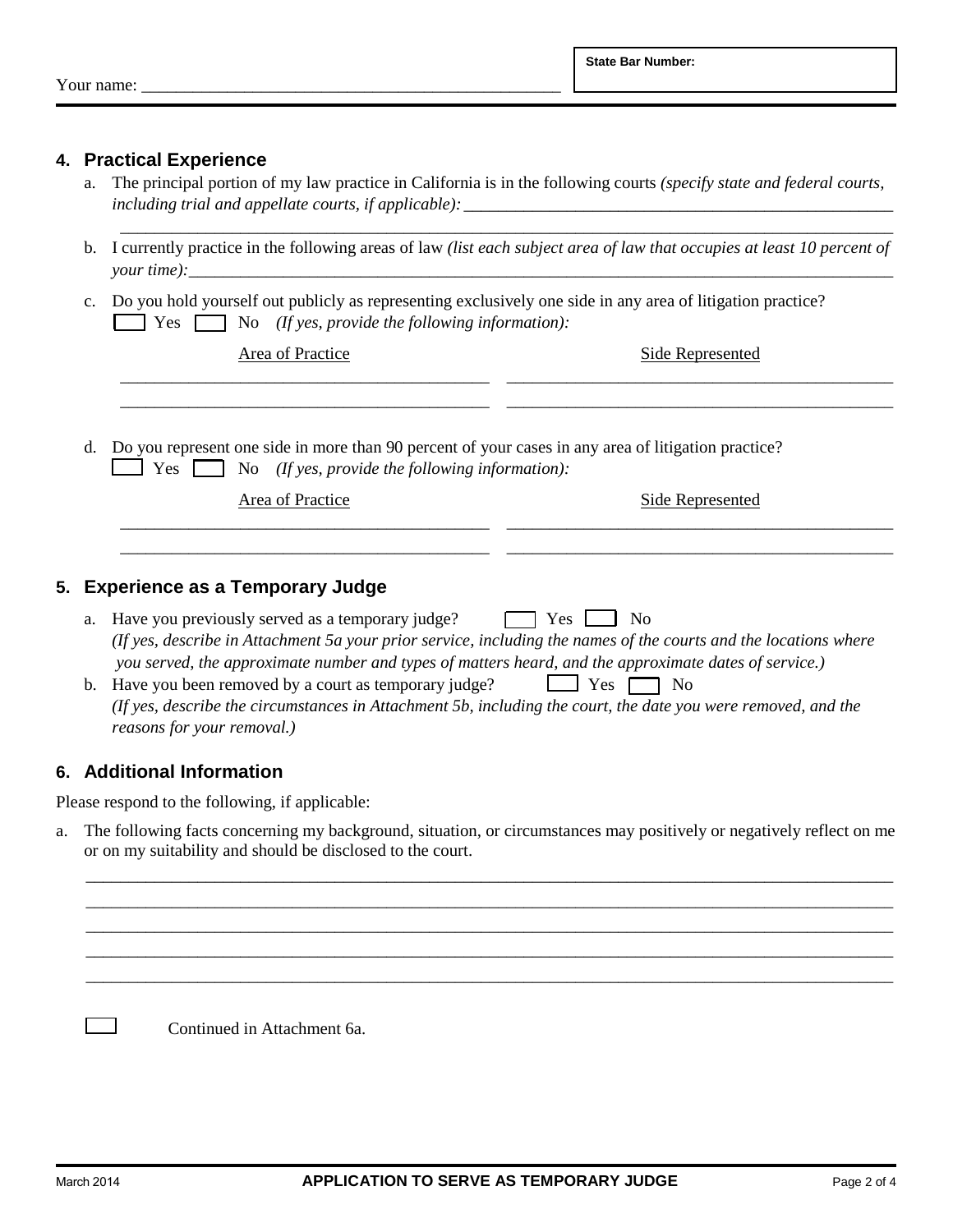Your name:

#### **4. Practical Experience**

- a. The principal portion of my law practice in California is in the following courts *(specify state and federal courts, including trial and appellate courts, if applicable):*
- b. I currently practice in the following areas of law *(list each subject area of law that occupies at least 10 percent of your time):* \_\_\_\_\_\_\_\_\_\_\_\_\_\_\_\_\_\_\_\_\_\_\_\_\_\_\_\_\_\_\_\_\_\_\_\_\_\_\_\_\_\_\_\_\_\_\_\_\_\_\_\_\_\_\_\_\_\_\_\_\_\_\_\_\_\_\_\_\_\_\_\_\_\_\_\_\_\_\_\_\_\_

\_\_\_\_\_\_\_\_\_\_\_\_\_\_\_\_\_\_\_\_\_\_\_\_\_\_\_\_\_\_\_\_\_\_\_\_\_\_\_\_\_\_\_\_\_\_\_\_\_\_\_\_\_\_\_\_\_\_\_\_\_\_\_\_\_\_\_\_\_\_\_\_\_\_\_\_\_\_\_\_\_\_\_\_\_\_\_\_\_\_

c. Do you hold yourself out publicly as representing exclusively one side in any area of litigation practice? Yes No *(If yes, provide the following information):*

Area of Practice

| <b>UD</b> | - I t |
|-----------|-------|
| . и с     | .     |
|           |       |
| .         | . .   |
|           |       |

d. Do you represent one side in more than 90 percent of your cases in any area of litigation practice? Yes No *(If yes, provide the following information):*

| Area of Practice | Side Represented |
|------------------|------------------|
|                  |                  |

\_\_\_\_\_\_\_\_\_\_\_\_\_\_\_\_\_\_\_\_\_\_\_\_\_\_\_\_\_\_\_\_\_\_\_\_\_\_\_\_\_\_\_ \_\_\_\_\_\_\_\_\_\_\_\_\_\_\_\_\_\_\_\_\_\_\_\_\_\_\_\_\_\_\_\_\_\_\_\_\_\_\_\_\_\_\_\_\_

### **5. Experience as a Temporary Judge**

- a. Have you previously served as a temporary judge?  $\Box$  Yes  $\Box$  No *(If yes, describe in Attachment 5a your prior service, including the names of the courts and the locations where you served, the approximate number and types of matters heard, and the approximate dates of service.)*
- b. Have you been removed by a court as temporary judge?  $\Box$  Yes  $\Box$  No *(If yes, describe the circumstances in Attachment 5b, including the court, the date you were removed, and the reasons for your removal.)*

### **6. Additional Information**

Please respond to the following, if applicable:

a. The following facts concerning my background, situation, or circumstances may positively or negatively reflect on me or on my suitability and should be disclosed to the court.

 \_\_\_\_\_\_\_\_\_\_\_\_\_\_\_\_\_\_\_\_\_\_\_\_\_\_\_\_\_\_\_\_\_\_\_\_\_\_\_\_\_\_\_\_\_\_\_\_\_\_\_\_\_\_\_\_\_\_\_\_\_\_\_\_\_\_\_\_\_\_\_\_\_\_\_\_\_\_\_\_\_\_\_\_\_\_\_\_\_\_\_\_\_\_ \_\_\_\_\_\_\_\_\_\_\_\_\_\_\_\_\_\_\_\_\_\_\_\_\_\_\_\_\_\_\_\_\_\_\_\_\_\_\_\_\_\_\_\_\_\_\_\_\_\_\_\_\_\_\_\_\_\_\_\_\_\_\_\_\_\_\_\_\_\_\_\_\_\_\_\_\_\_\_\_\_\_\_\_\_\_\_\_\_\_\_\_\_\_ \_\_\_\_\_\_\_\_\_\_\_\_\_\_\_\_\_\_\_\_\_\_\_\_\_\_\_\_\_\_\_\_\_\_\_\_\_\_\_\_\_\_\_\_\_\_\_\_\_\_\_\_\_\_\_\_\_\_\_\_\_\_\_\_\_\_\_\_\_\_\_\_\_\_\_\_\_\_\_\_\_\_\_\_\_\_\_\_\_\_\_\_\_\_ \_\_\_\_\_\_\_\_\_\_\_\_\_\_\_\_\_\_\_\_\_\_\_\_\_\_\_\_\_\_\_\_\_\_\_\_\_\_\_\_\_\_\_\_\_\_\_\_\_\_\_\_\_\_\_\_\_\_\_\_\_\_\_\_\_\_\_\_\_\_\_\_\_\_\_\_\_\_\_\_\_\_\_\_\_\_\_\_\_\_\_\_\_\_ \_\_\_\_\_\_\_\_\_\_\_\_\_\_\_\_\_\_\_\_\_\_\_\_\_\_\_\_\_\_\_\_\_\_\_\_\_\_\_\_\_\_\_\_\_\_\_\_\_\_\_\_\_\_\_\_\_\_\_\_\_\_\_\_\_\_\_\_\_\_\_\_\_\_\_\_\_\_\_\_\_\_\_\_\_\_\_\_\_\_\_\_\_\_

Continued in Attachment 6a.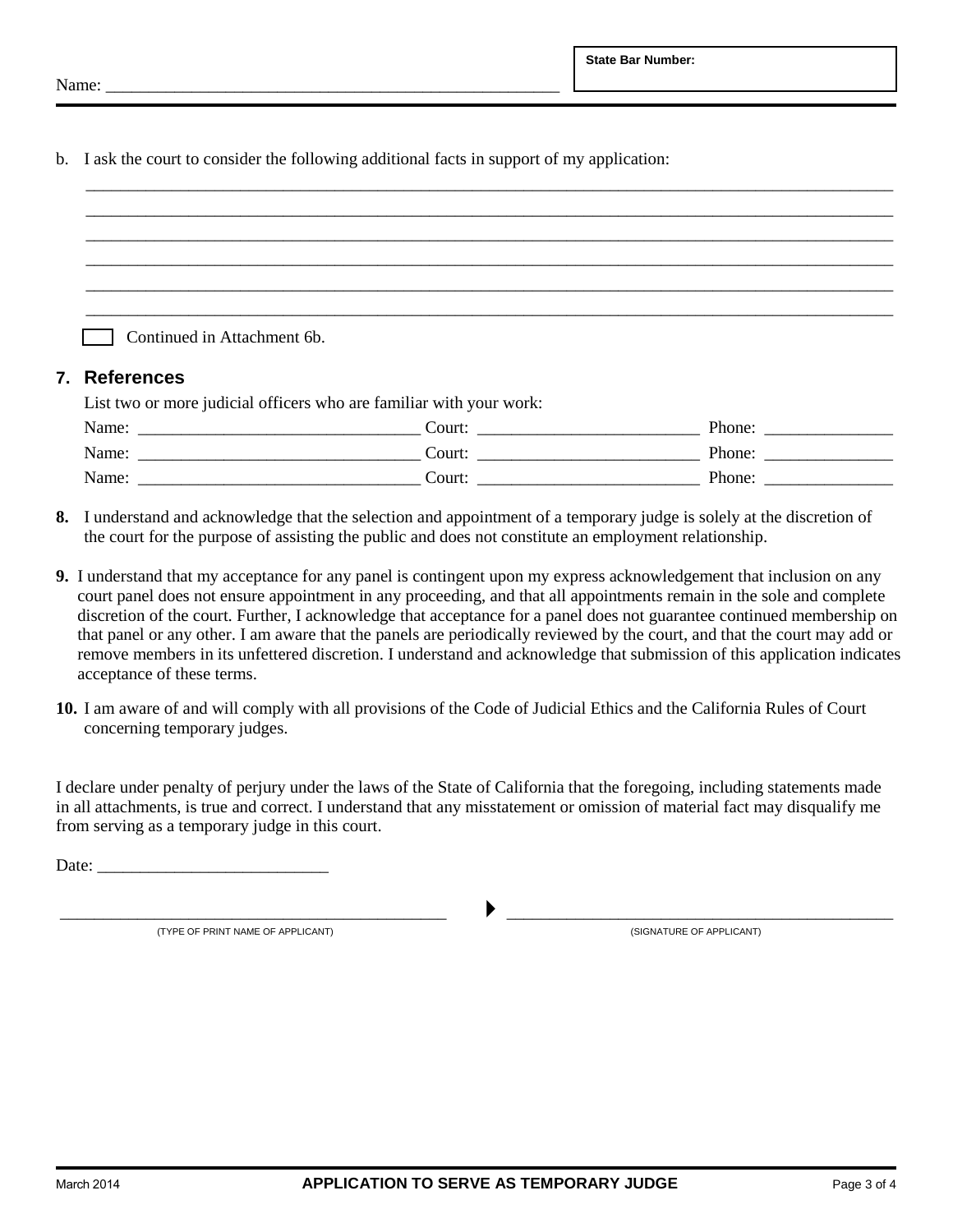b. I ask the court to consider the following additional facts in support of my application:

| Continued in Attachment 6b.<br>7. References |                                                                                                                                                                                                                               |  |  |  |  |  |
|----------------------------------------------|-------------------------------------------------------------------------------------------------------------------------------------------------------------------------------------------------------------------------------|--|--|--|--|--|
|                                              | List two or more judicial officers who are familiar with your work:                                                                                                                                                           |  |  |  |  |  |
|                                              | Name: Name: Name: Name: Name: Name: Name: Name: Name: Name: Name: Name: Name: Name: Name: Name: Name: Name: Name: Name: Name: Name: Name: Name: Name: Name: Name: Name: Name: Name: Name: Name: Name: Name: Name: Name: Name: |  |  |  |  |  |
|                                              |                                                                                                                                                                                                                               |  |  |  |  |  |
|                                              |                                                                                                                                                                                                                               |  |  |  |  |  |

- **8.** I understand and acknowledge that the selection and appointment of a temporary judge is solely at the discretion of the court for the purpose of assisting the public and does not constitute an employment relationship.
- **9.** I understand that my acceptance for any panel is contingent upon my express acknowledgement that inclusion on any court panel does not ensure appointment in any proceeding, and that all appointments remain in the sole and complete discretion of the court. Further, I acknowledge that acceptance for a panel does not guarantee continued membership on that panel or any other. I am aware that the panels are periodically reviewed by the court, and that the court may add or remove members in its unfettered discretion. I understand and acknowledge that submission of this application indicates acceptance of these terms.
- **10.** I am aware of and will comply with all provisions of the Code of Judicial Ethics and the California Rules of Court concerning temporary judges.

I declare under penalty of perjury under the laws of the State of California that the foregoing, including statements made in all attachments, is true and correct. I understand that any misstatement or omission of material fact may disqualify me from serving as a temporary judge in this court.

Date:

 \_\_\_\_\_\_\_\_\_\_\_\_\_\_\_\_\_\_\_\_\_\_\_\_\_\_\_\_\_\_\_\_\_\_\_\_\_\_\_\_\_\_\_\_\_ \_\_\_\_\_\_\_\_\_\_\_\_\_\_\_\_\_\_\_\_\_\_\_\_\_\_\_\_\_\_\_\_\_\_\_\_\_\_\_\_\_\_\_\_\_ (TYPE OF PRINT NAME OF APPLICANT) (SIGNATURE OF APPLICANT)